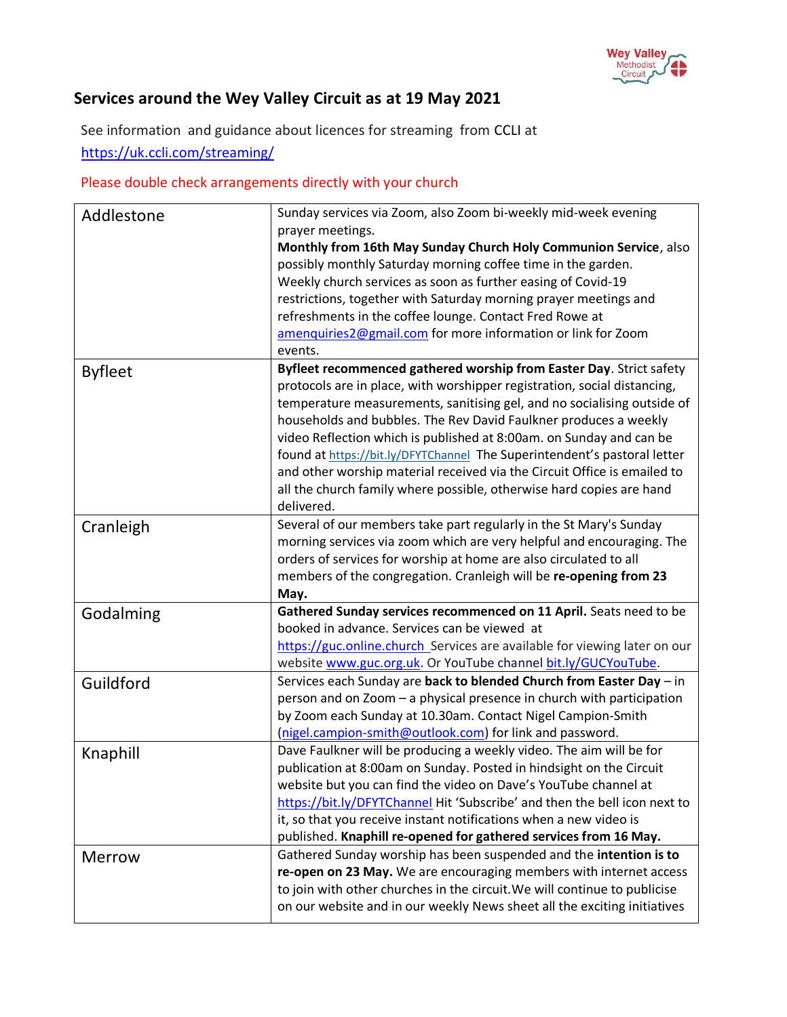

## **Services around the Wey Valley Circuit as at 19 May 2021**

See information and guidance about licences for streaming from [CCLI](https://artserve.us8.list-manage.com/track/click?u=c2d1d9ca953fdf84333ea4bda&id=f3890112bb&e=05716758b6) at <https://uk.ccli.com/streaming/>

## Please double check arrangements directly with your church

| Addlestone     | Sunday services via Zoom, also Zoom bi-weekly mid-week evening<br>prayer meetings.<br>Monthly from 16th May Sunday Church Holy Communion Service, also<br>possibly monthly Saturday morning coffee time in the garden.                                                                                                                                                                                                                                                                                                                                                                                              |
|----------------|---------------------------------------------------------------------------------------------------------------------------------------------------------------------------------------------------------------------------------------------------------------------------------------------------------------------------------------------------------------------------------------------------------------------------------------------------------------------------------------------------------------------------------------------------------------------------------------------------------------------|
|                | Weekly church services as soon as further easing of Covid-19<br>restrictions, together with Saturday morning prayer meetings and<br>refreshments in the coffee lounge. Contact Fred Rowe at<br>amenquiries2@gmail.com for more information or link for Zoom<br>events.                                                                                                                                                                                                                                                                                                                                              |
| <b>Byfleet</b> | Byfleet recommenced gathered worship from Easter Day. Strict safety<br>protocols are in place, with worshipper registration, social distancing,<br>temperature measurements, sanitising gel, and no socialising outside of<br>households and bubbles. The Rev David Faulkner produces a weekly<br>video Reflection which is published at 8:00am. on Sunday and can be<br>found at https://bit.ly/DFYTChannel The Superintendent's pastoral letter<br>and other worship material received via the Circuit Office is emailed to<br>all the church family where possible, otherwise hard copies are hand<br>delivered. |
| Cranleigh      | Several of our members take part regularly in the St Mary's Sunday<br>morning services via zoom which are very helpful and encouraging. The<br>orders of services for worship at home are also circulated to all<br>members of the congregation. Cranleigh will be re-opening from 23<br>May.                                                                                                                                                                                                                                                                                                                       |
| Godalming      | Gathered Sunday services recommenced on 11 April. Seats need to be<br>booked in advance. Services can be viewed at<br>https://guc.online.church_Services are available for viewing later on our<br>website www.guc.org.uk. Or YouTube channel bit.ly/GUCYouTube.                                                                                                                                                                                                                                                                                                                                                    |
| Guildford      | Services each Sunday are back to blended Church from Easter Day - in<br>person and on Zoom - a physical presence in church with participation<br>by Zoom each Sunday at 10.30am. Contact Nigel Campion-Smith<br>(nigel.campion-smith@outlook.com) for link and password.                                                                                                                                                                                                                                                                                                                                            |
| Knaphill       | Dave Faulkner will be producing a weekly video. The aim will be for<br>publication at 8:00am on Sunday. Posted in hindsight on the Circuit<br>website but you can find the video on Dave's YouTube channel at<br>https://bit.ly/DFYTChannel Hit 'Subscribe' and then the bell icon next to<br>it, so that you receive instant notifications when a new video is<br>published. Knaphill re-opened for gathered services from 16 May.                                                                                                                                                                                 |
| <b>Merrow</b>  | Gathered Sunday worship has been suspended and the intention is to<br>re-open on 23 May. We are encouraging members with internet access<br>to join with other churches in the circuit. We will continue to publicise<br>on our website and in our weekly News sheet all the exciting initiatives                                                                                                                                                                                                                                                                                                                   |